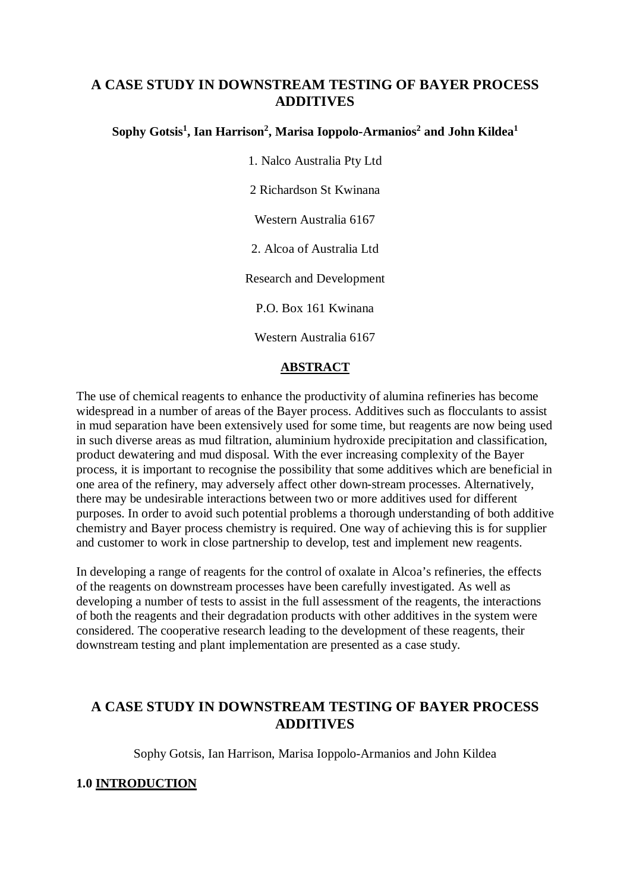# **A CASE STUDY IN DOWNSTREAM TESTING OF BAYER PROCESS ADDITIVES**

## **Sophy Gotsis<sup>1</sup> , Ian Harrison<sup>2</sup> , Marisa Ioppolo-Armanios<sup>2</sup> and John Kildea<sup>1</sup>**

1. Nalco Australia Pty Ltd 2 Richardson St Kwinana Western Australia 6167 2. Alcoa of Australia Ltd Research and Development P.O. Box 161 Kwinana Western Australia 6167

### **ABSTRACT**

The use of chemical reagents to enhance the productivity of alumina refineries has become widespread in a number of areas of the Bayer process. Additives such as flocculants to assist in mud separation have been extensively used for some time, but reagents are now being used in such diverse areas as mud filtration, aluminium hydroxide precipitation and classification, product dewatering and mud disposal. With the ever increasing complexity of the Bayer process, it is important to recognise the possibility that some additives which are beneficial in one area of the refinery, may adversely affect other down-stream processes. Alternatively, there may be undesirable interactions between two or more additives used for different purposes. In order to avoid such potential problems a thorough understanding of both additive chemistry and Bayer process chemistry is required. One way of achieving this is for supplier and customer to work in close partnership to develop, test and implement new reagents.

In developing a range of reagents for the control of oxalate in Alcoa's refineries, the effects of the reagents on downstream processes have been carefully investigated. As well as developing a number of tests to assist in the full assessment of the reagents, the interactions of both the reagents and their degradation products with other additives in the system were considered. The cooperative research leading to the development of these reagents, their downstream testing and plant implementation are presented as a case study.

# **A CASE STUDY IN DOWNSTREAM TESTING OF BAYER PROCESS ADDITIVES**

Sophy Gotsis, Ian Harrison, Marisa Ioppolo-Armanios and John Kildea

## **1.0 INTRODUCTION**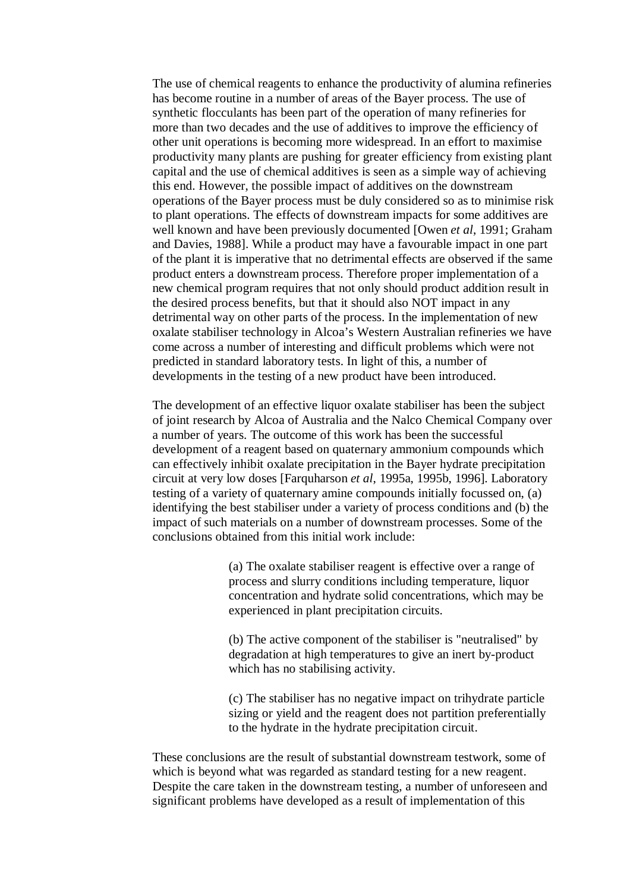The use of chemical reagents to enhance the productivity of alumina refineries has become routine in a number of areas of the Bayer process. The use of synthetic flocculants has been part of the operation of many refineries for more than two decades and the use of additives to improve the efficiency of other unit operations is becoming more widespread. In an effort to maximise productivity many plants are pushing for greater efficiency from existing plant capital and the use of chemical additives is seen as a simple way of achieving this end. However, the possible impact of additives on the downstream operations of the Bayer process must be duly considered so as to minimise risk to plant operations. The effects of downstream impacts for some additives are well known and have been previously documented [Owen *et al*, 1991; Graham and Davies, 1988]. While a product may have a favourable impact in one part of the plant it is imperative that no detrimental effects are observed if the same product enters a downstream process. Therefore proper implementation of a new chemical program requires that not only should product addition result in the desired process benefits, but that it should also NOT impact in any detrimental way on other parts of the process. In the implementation of new oxalate stabiliser technology in Alcoa's Western Australian refineries we have come across a number of interesting and difficult problems which were not predicted in standard laboratory tests. In light of this, a number of developments in the testing of a new product have been introduced.

The development of an effective liquor oxalate stabiliser has been the subject of joint research by Alcoa of Australia and the Nalco Chemical Company over a number of years. The outcome of this work has been the successful development of a reagent based on quaternary ammonium compounds which can effectively inhibit oxalate precipitation in the Bayer hydrate precipitation circuit at very low doses [Farquharson *et al*, 1995a, 1995b, 1996]. Laboratory testing of a variety of quaternary amine compounds initially focussed on, (a) identifying the best stabiliser under a variety of process conditions and (b) the impact of such materials on a number of downstream processes. Some of the conclusions obtained from this initial work include:

> (a) The oxalate stabiliser reagent is effective over a range of process and slurry conditions including temperature, liquor concentration and hydrate solid concentrations, which may be experienced in plant precipitation circuits.

(b) The active component of the stabiliser is "neutralised" by degradation at high temperatures to give an inert by-product which has no stabilising activity.

(c) The stabiliser has no negative impact on trihydrate particle sizing or yield and the reagent does not partition preferentially to the hydrate in the hydrate precipitation circuit.

These conclusions are the result of substantial downstream testwork, some of which is beyond what was regarded as standard testing for a new reagent. Despite the care taken in the downstream testing, a number of unforeseen and significant problems have developed as a result of implementation of this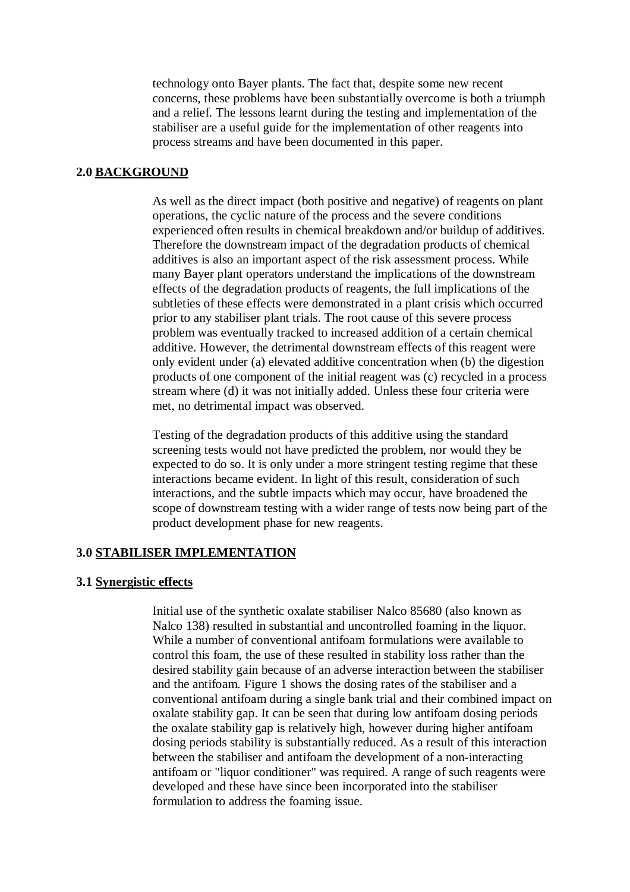technology onto Bayer plants. The fact that, despite some new recent concerns, these problems have been substantially overcome is both a triumph and a relief. The lessons learnt during the testing and implementation of the stabiliser are a useful guide for the implementation of other reagents into process streams and have been documented in this paper.

### **2.0 BACKGROUND**

As well as the direct impact (both positive and negative) of reagents on plant operations, the cyclic nature of the process and the severe conditions experienced often results in chemical breakdown and/or buildup of additives. Therefore the downstream impact of the degradation products of chemical additives is also an important aspect of the risk assessment process. While many Bayer plant operators understand the implications of the downstream effects of the degradation products of reagents, the full implications of the subtleties of these effects were demonstrated in a plant crisis which occurred prior to any stabiliser plant trials. The root cause of this severe process problem was eventually tracked to increased addition of a certain chemical additive. However, the detrimental downstream effects of this reagent were only evident under (a) elevated additive concentration when (b) the digestion products of one component of the initial reagent was (c) recycled in a process stream where (d) it was not initially added. Unless these four criteria were met, no detrimental impact was observed.

Testing of the degradation products of this additive using the standard screening tests would not have predicted the problem, nor would they be expected to do so. It is only under a more stringent testing regime that these interactions became evident. In light of this result, consideration of such interactions, and the subtle impacts which may occur, have broadened the scope of downstream testing with a wider range of tests now being part of the product development phase for new reagents.

### **3.0 STABILISER IMPLEMENTATION**

### **3.1 Synergistic effects**

Initial use of the synthetic oxalate stabiliser Nalco 85680 (also known as Nalco 138) resulted in substantial and uncontrolled foaming in the liquor. While a number of conventional antifoam formulations were available to control this foam, the use of these resulted in stability loss rather than the desired stability gain because of an adverse interaction between the stabiliser and the antifoam. Figure 1 shows the dosing rates of the stabiliser and a conventional antifoam during a single bank trial and their combined impact on oxalate stability gap. It can be seen that during low antifoam dosing periods the oxalate stability gap is relatively high, however during higher antifoam dosing periods stability is substantially reduced. As a result of this interaction between the stabiliser and antifoam the development of a non-interacting antifoam or "liquor conditioner" was required. A range of such reagents were developed and these have since been incorporated into the stabiliser formulation to address the foaming issue.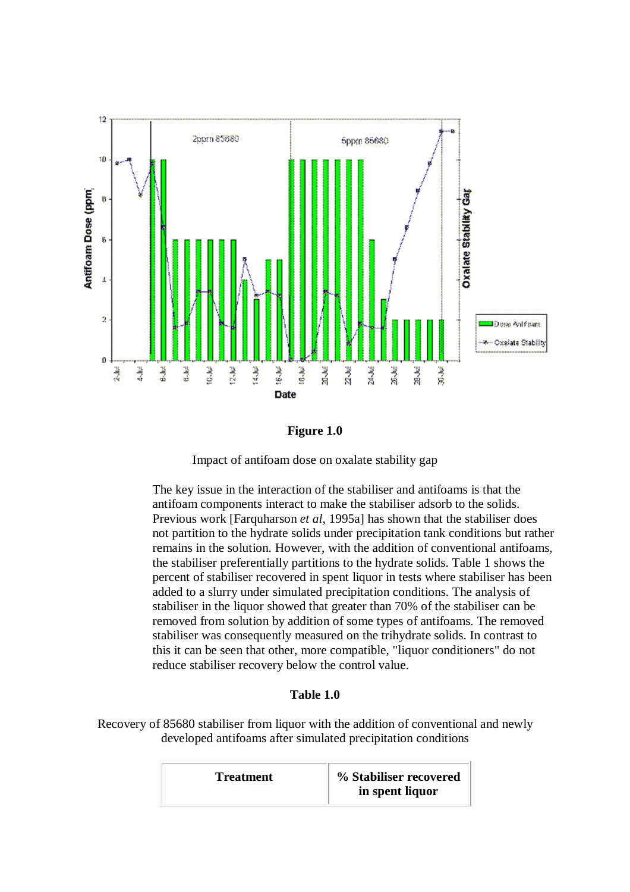

**Figure 1.0**



The key issue in the interaction of the stabiliser and antifoams is that the antifoam components interact to make the stabiliser adsorb to the solids. Previous work [Farquharson *et al*, 1995a] has shown that the stabiliser does not partition to the hydrate solids under precipitation tank conditions but rather remains in the solution. However, with the addition of conventional antifoams, the stabiliser preferentially partitions to the hydrate solids. Table 1 shows the percent of stabiliser recovered in spent liquor in tests where stabiliser has been added to a slurry under simulated precipitation conditions. The analysis of stabiliser in the liquor showed that greater than 70% of the stabiliser can be removed from solution by addition of some types of antifoams. The removed stabiliser was consequently measured on the trihydrate solids. In contrast to this it can be seen that other, more compatible, "liquor conditioners" do not reduce stabiliser recovery below the control value.

## **Table 1.0**

Recovery of 85680 stabiliser from liquor with the addition of conventional and newly developed antifoams after simulated precipitation conditions

| <b>Treatment</b> | % Stabiliser recovered<br>in spent liquor |
|------------------|-------------------------------------------|
|------------------|-------------------------------------------|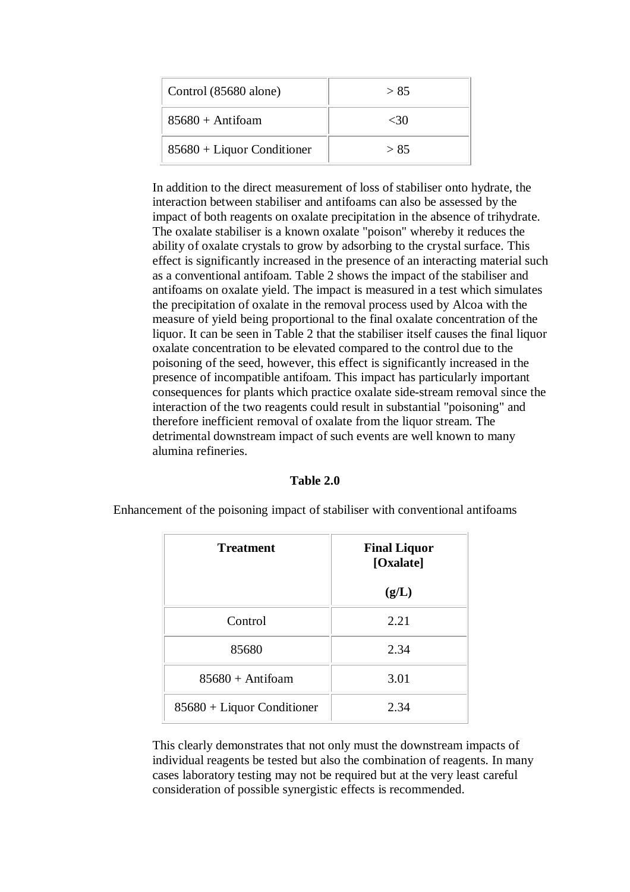| Control (85680 alone)        | > 85 |
|------------------------------|------|
| $85680 + Antifoam$           | -30  |
| $85680 + Liquor Conditioner$ | > 85 |

In addition to the direct measurement of loss of stabiliser onto hydrate, the interaction between stabiliser and antifoams can also be assessed by the impact of both reagents on oxalate precipitation in the absence of trihydrate. The oxalate stabiliser is a known oxalate "poison" whereby it reduces the ability of oxalate crystals to grow by adsorbing to the crystal surface. This effect is significantly increased in the presence of an interacting material such as a conventional antifoam. Table 2 shows the impact of the stabiliser and antifoams on oxalate yield. The impact is measured in a test which simulates the precipitation of oxalate in the removal process used by Alcoa with the measure of yield being proportional to the final oxalate concentration of the liquor. It can be seen in Table 2 that the stabiliser itself causes the final liquor oxalate concentration to be elevated compared to the control due to the poisoning of the seed, however, this effect is significantly increased in the presence of incompatible antifoam. This impact has particularly important consequences for plants which practice oxalate side-stream removal since the interaction of the two reagents could result in substantial "poisoning" and therefore inefficient removal of oxalate from the liquor stream. The detrimental downstream impact of such events are well known to many alumina refineries.

#### **Table 2.0**

Enhancement of the poisoning impact of stabiliser with conventional antifoams

| <b>Treatment</b>             | <b>Final Liquor</b><br>[Oxalate] |  |
|------------------------------|----------------------------------|--|
|                              | (g/L)                            |  |
| Control                      | 2.21                             |  |
| 85680                        | 2.34                             |  |
| $85680 + Antifoam$           | 3.01                             |  |
| $85680 + Liquor Conditioner$ | 2.34                             |  |

This clearly demonstrates that not only must the downstream impacts of individual reagents be tested but also the combination of reagents. In many cases laboratory testing may not be required but at the very least careful consideration of possible synergistic effects is recommended.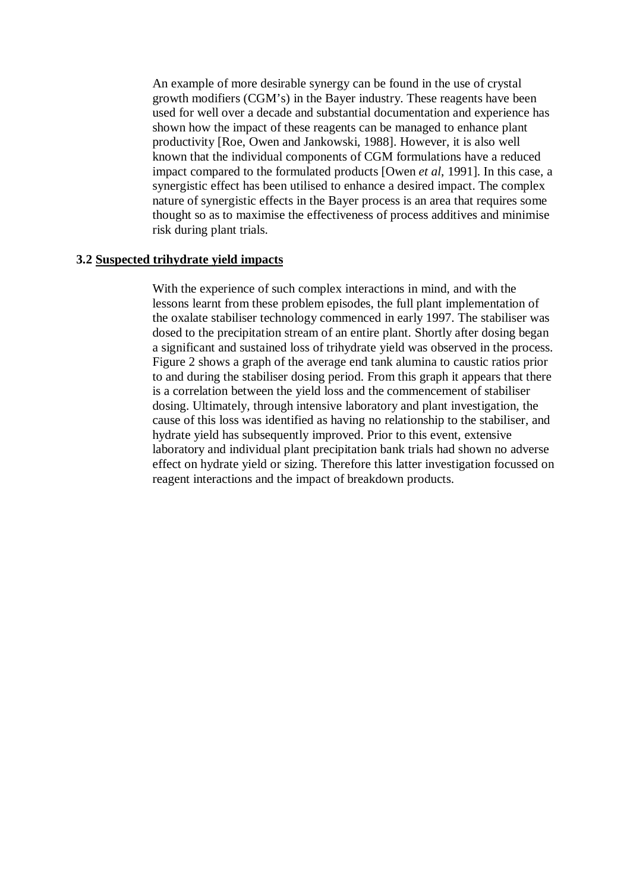An example of more desirable synergy can be found in the use of crystal growth modifiers (CGM's) in the Bayer industry. These reagents have been used for well over a decade and substantial documentation and experience has shown how the impact of these reagents can be managed to enhance plant productivity [Roe, Owen and Jankowski, 1988]. However, it is also well known that the individual components of CGM formulations have a reduced impact compared to the formulated products [Owen *et al*, 1991]. In this case, a synergistic effect has been utilised to enhance a desired impact. The complex nature of synergistic effects in the Bayer process is an area that requires some thought so as to maximise the effectiveness of process additives and minimise risk during plant trials.

#### **3.2 Suspected trihydrate yield impacts**

With the experience of such complex interactions in mind, and with the lessons learnt from these problem episodes, the full plant implementation of the oxalate stabiliser technology commenced in early 1997. The stabiliser was dosed to the precipitation stream of an entire plant. Shortly after dosing began a significant and sustained loss of trihydrate yield was observed in the process. Figure 2 shows a graph of the average end tank alumina to caustic ratios prior to and during the stabiliser dosing period. From this graph it appears that there is a correlation between the yield loss and the commencement of stabiliser dosing. Ultimately, through intensive laboratory and plant investigation, the cause of this loss was identified as having no relationship to the stabiliser, and hydrate yield has subsequently improved. Prior to this event, extensive laboratory and individual plant precipitation bank trials had shown no adverse effect on hydrate yield or sizing. Therefore this latter investigation focussed on reagent interactions and the impact of breakdown products.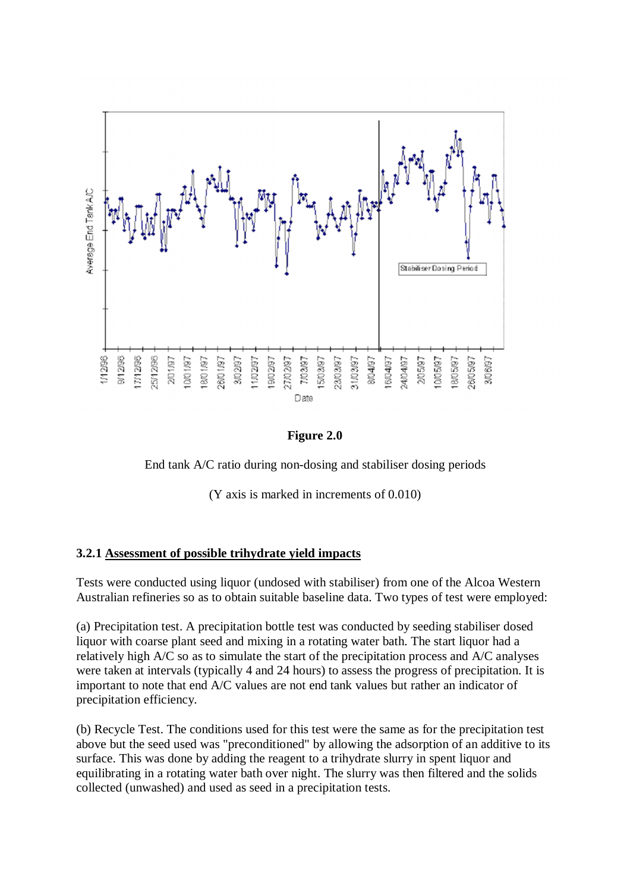

**Figure 2.0** 

End tank A/C ratio during non-dosing and stabiliser dosing periods

(Y axis is marked in increments of 0.010)

## **3.2.1 Assessment of possible trihydrate yield impacts**

Tests were conducted using liquor (undosed with stabiliser) from one of the Alcoa Western Australian refineries so as to obtain suitable baseline data. Two types of test were employed:

(a) Precipitation test. A precipitation bottle test was conducted by seeding stabiliser dosed liquor with coarse plant seed and mixing in a rotating water bath. The start liquor had a relatively high A/C so as to simulate the start of the precipitation process and A/C analyses were taken at intervals (typically 4 and 24 hours) to assess the progress of precipitation. It is important to note that end A/C values are not end tank values but rather an indicator of precipitation efficiency.

(b) Recycle Test. The conditions used for this test were the same as for the precipitation test above but the seed used was "preconditioned" by allowing the adsorption of an additive to its surface. This was done by adding the reagent to a trihydrate slurry in spent liquor and equilibrating in a rotating water bath over night. The slurry was then filtered and the solids collected (unwashed) and used as seed in a precipitation tests.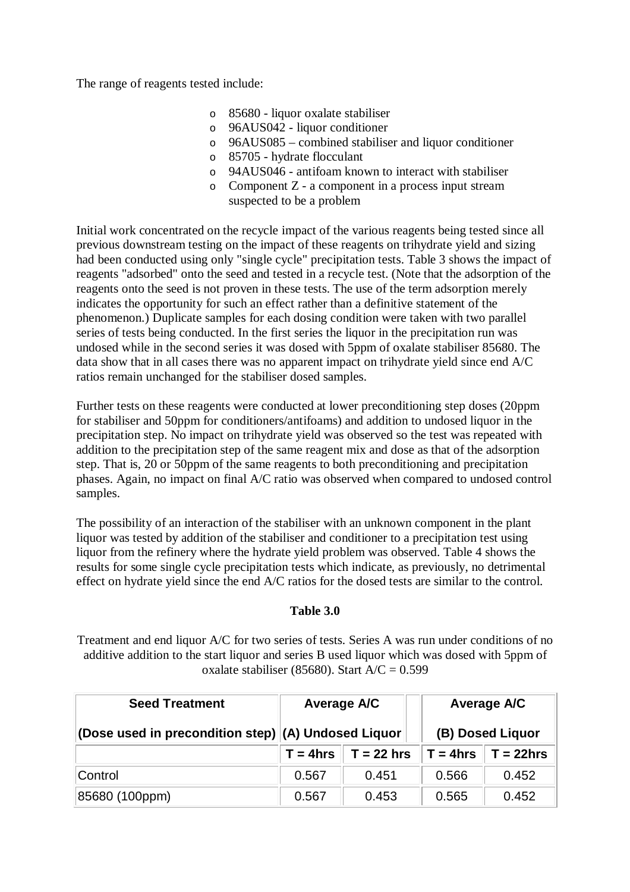The range of reagents tested include:

- o 85680 liquor oxalate stabiliser
- o 96AUS042 liquor conditioner
- o 96AUS085 combined stabiliser and liquor conditioner
- o 85705 hydrate flocculant
- o 94AUS046 antifoam known to interact with stabiliser
- o Component Z a component in a process input stream suspected to be a problem

Initial work concentrated on the recycle impact of the various reagents being tested since all previous downstream testing on the impact of these reagents on trihydrate yield and sizing had been conducted using only "single cycle" precipitation tests. Table 3 shows the impact of reagents "adsorbed" onto the seed and tested in a recycle test. (Note that the adsorption of the reagents onto the seed is not proven in these tests. The use of the term adsorption merely indicates the opportunity for such an effect rather than a definitive statement of the phenomenon.) Duplicate samples for each dosing condition were taken with two parallel series of tests being conducted. In the first series the liquor in the precipitation run was undosed while in the second series it was dosed with 5ppm of oxalate stabiliser 85680. The data show that in all cases there was no apparent impact on trihydrate yield since end A/C ratios remain unchanged for the stabiliser dosed samples.

Further tests on these reagents were conducted at lower preconditioning step doses (20ppm for stabiliser and 50ppm for conditioners/antifoams) and addition to undosed liquor in the precipitation step. No impact on trihydrate yield was observed so the test was repeated with addition to the precipitation step of the same reagent mix and dose as that of the adsorption step. That is, 20 or 50ppm of the same reagents to both preconditioning and precipitation phases. Again, no impact on final A/C ratio was observed when compared to undosed control samples.

The possibility of an interaction of the stabiliser with an unknown component in the plant liquor was tested by addition of the stabiliser and conditioner to a precipitation test using liquor from the refinery where the hydrate yield problem was observed. Table 4 shows the results for some single cycle precipitation tests which indicate, as previously, no detrimental effect on hydrate yield since the end A/C ratios for the dosed tests are similar to the control.

### **Table 3.0**

Treatment and end liquor A/C for two series of tests. Series A was run under conditions of no additive addition to the start liquor and series B used liquor which was dosed with 5ppm of oxalate stabiliser (85680). Start  $A/C = 0.599$ 

| <b>Seed Treatment</b>                               | <b>Average A/C</b> |              | Average A/C      |              |
|-----------------------------------------------------|--------------------|--------------|------------------|--------------|
| (Dose used in precondition step) (A) Undosed Liquor |                    |              | (B) Dosed Liquor |              |
|                                                     | $T = 4hrs$         | $T = 22$ hrs | $T = 4hrs$       | $T = 22$ hrs |
| Control                                             | 0.567              | 0.451        | 0.566            | 0.452        |
| 85680 (100ppm)                                      | 0.567              | 0.453        | 0.565            | 0.452        |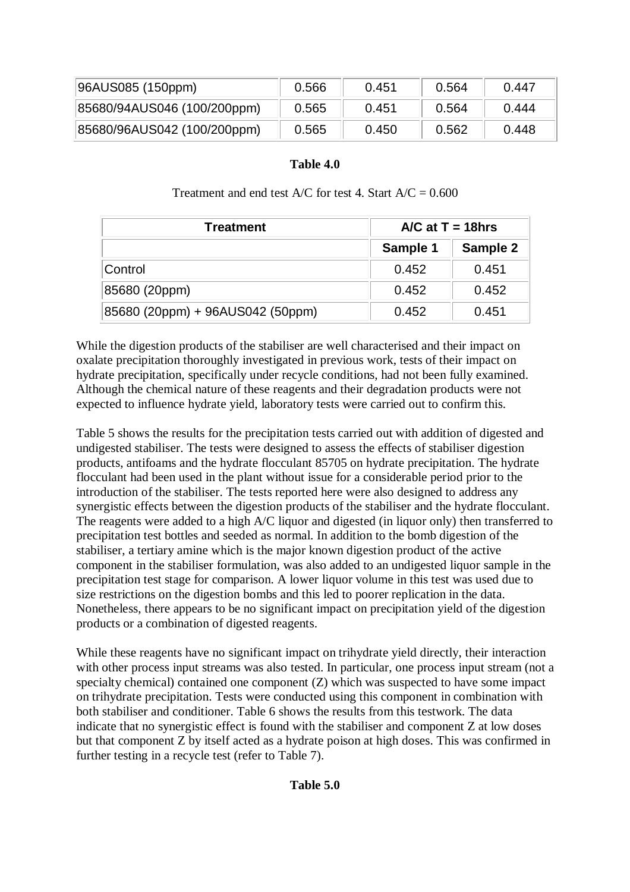| 96AUS085 (150ppm)           | 0.566 | 0.451 | 0.564 | 0.447 |
|-----------------------------|-------|-------|-------|-------|
| 85680/94AUS046 (100/200ppm) | 0.565 | 0.451 | 0.564 | 0.444 |
| 85680/96AUS042 (100/200ppm) | 0.565 | 0.450 | 0.562 | 0.448 |

### **Table 4.0**

| <b>Treatment</b>                 |          | $\angle$ A/C at T = 18hrs |  |  |
|----------------------------------|----------|---------------------------|--|--|
|                                  | Sample 1 | Sample 2                  |  |  |
| Control                          | 0.452    | 0.451                     |  |  |
| 85680 (20ppm)                    | 0.452    | 0.452                     |  |  |
| 85680 (20ppm) + 96AUS042 (50ppm) | 0.452    | 0.451                     |  |  |

Treatment and end test  $A/C$  for test 4. Start  $A/C = 0.600$ 

While the digestion products of the stabiliser are well characterised and their impact on oxalate precipitation thoroughly investigated in previous work, tests of their impact on hydrate precipitation, specifically under recycle conditions, had not been fully examined. Although the chemical nature of these reagents and their degradation products were not expected to influence hydrate yield, laboratory tests were carried out to confirm this.

Table 5 shows the results for the precipitation tests carried out with addition of digested and undigested stabiliser. The tests were designed to assess the effects of stabiliser digestion products, antifoams and the hydrate flocculant 85705 on hydrate precipitation. The hydrate flocculant had been used in the plant without issue for a considerable period prior to the introduction of the stabiliser. The tests reported here were also designed to address any synergistic effects between the digestion products of the stabiliser and the hydrate flocculant. The reagents were added to a high A/C liquor and digested (in liquor only) then transferred to precipitation test bottles and seeded as normal. In addition to the bomb digestion of the stabiliser, a tertiary amine which is the major known digestion product of the active component in the stabiliser formulation, was also added to an undigested liquor sample in the precipitation test stage for comparison. A lower liquor volume in this test was used due to size restrictions on the digestion bombs and this led to poorer replication in the data. Nonetheless, there appears to be no significant impact on precipitation yield of the digestion products or a combination of digested reagents.

While these reagents have no significant impact on trihydrate yield directly, their interaction with other process input streams was also tested. In particular, one process input stream (not a specialty chemical) contained one component (Z) which was suspected to have some impact on trihydrate precipitation. Tests were conducted using this component in combination with both stabiliser and conditioner. Table 6 shows the results from this testwork. The data indicate that no synergistic effect is found with the stabiliser and component Z at low doses but that component Z by itself acted as a hydrate poison at high doses. This was confirmed in further testing in a recycle test (refer to Table 7).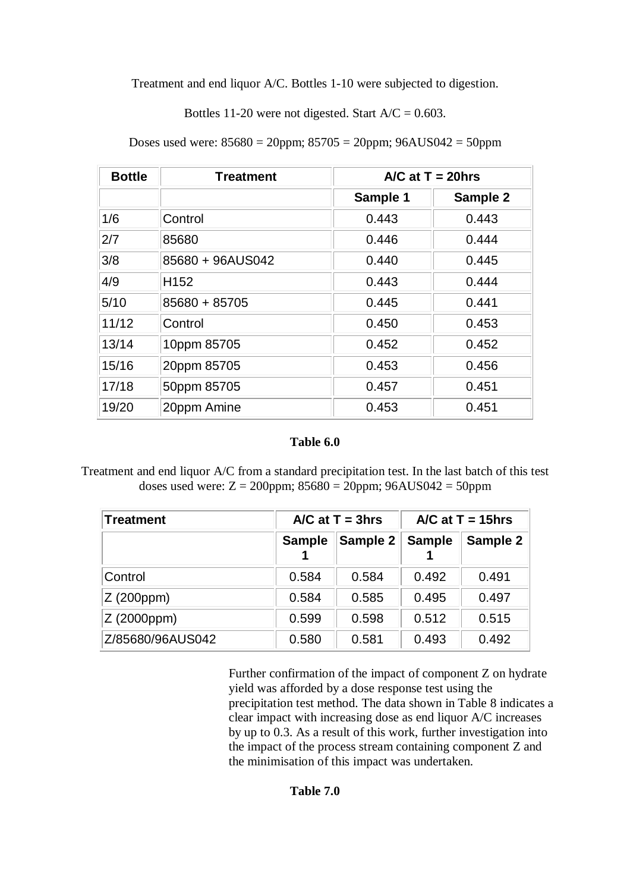Treatment and end liquor A/C. Bottles 1-10 were subjected to digestion.

Bottles 11-20 were not digested. Start  $A/C = 0.603$ .

| <b>Bottle</b> | Treatment        | $\triangle$ /C at T = 20hrs |          |  |
|---------------|------------------|-----------------------------|----------|--|
|               |                  | Sample 1                    | Sample 2 |  |
| 1/6           | Control          | 0.443                       | 0.443    |  |
| 2/7           | 85680            | 0.446                       | 0.444    |  |
| 3/8           | 85680 + 96AUS042 | 0.440                       | 0.445    |  |
| 4/9           | H <sub>152</sub> | 0.443                       | 0.444    |  |
| 5/10          | 85680 + 85705    | 0.445                       | 0.441    |  |
| 11/12         | Control          | 0.450                       | 0.453    |  |
| 13/14         | 10ppm 85705      | 0.452                       | 0.452    |  |
| 15/16         | 20ppm 85705      | 0.453                       | 0.456    |  |
| 17/18         | 50ppm 85705      | 0.457                       | 0.451    |  |
| 19/20         | 20ppm Amine      | 0.453                       | 0.451    |  |

Doses used were:  $85680 = 20$ ppm;  $85705 = 20$ ppm;  $96AUS042 = 50$ ppm

### **Table 6.0**

Treatment and end liquor A/C from a standard precipitation test. In the last batch of this test doses used were:  $Z = 200$ ppm;  $85680 = 20$ ppm;  $96AUS042 = 50$ ppm

| Treatment        | $\triangle$ /C at T = 3hrs |          | $\triangle$ /C at T = 15hrs |          |
|------------------|----------------------------|----------|-----------------------------|----------|
|                  | <b>Sample</b>              | Sample 2 | <b>Sample</b>               | Sample 2 |
| Control          | 0.584                      | 0.584    | 0.492                       | 0.491    |
| Z(200ppm)        | 0.584                      | 0.585    | 0.495                       | 0.497    |
| Z(2000ppm)       | 0.599                      | 0.598    | 0.512                       | 0.515    |
| Z/85680/96AUS042 | 0.580                      | 0.581    | 0.493                       | 0.492    |

Further confirmation of the impact of component Z on hydrate yield was afforded by a dose response test using the precipitation test method. The data shown in Table 8 indicates a clear impact with increasing dose as end liquor A/C increases by up to 0.3. As a result of this work, further investigation into the impact of the process stream containing component Z and the minimisation of this impact was undertaken.

## **Table 7.0**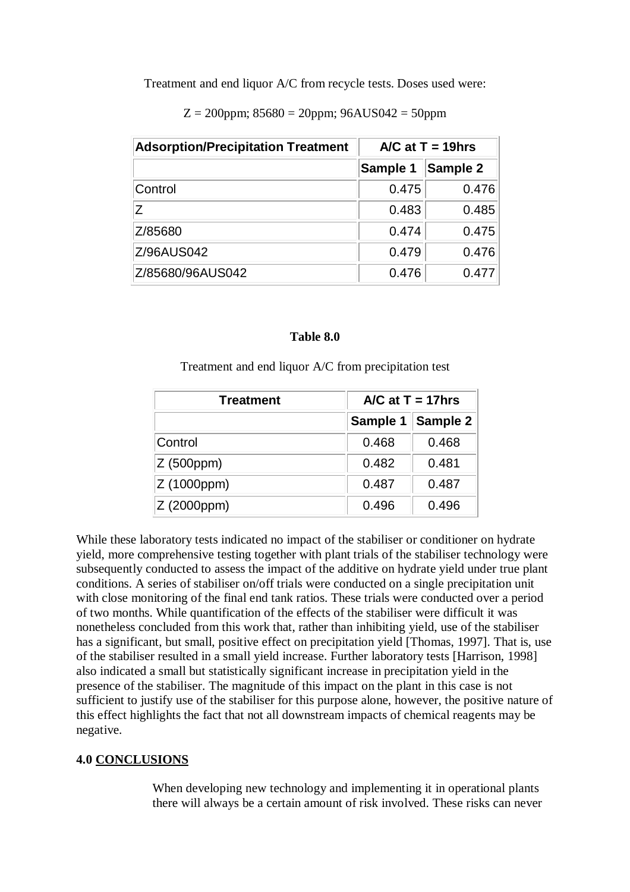Treatment and end liquor A/C from recycle tests. Doses used were:

 $Z = 200$ ppm;  $85680 = 20$ ppm;  $96AUS042 = 50$ ppm

| <b>Adsorption/Precipitation Treatment</b> | $\triangle$ /C at T = 19hrs |          |
|-------------------------------------------|-----------------------------|----------|
|                                           | Sample 1                    | Sample 2 |
| Control                                   | 0.475                       | 0.476    |
| Ζ                                         | 0.483                       | 0.485    |
| Z/85680                                   | 0.474                       | 0.475    |
| Z/96AUS042                                | 0.479                       | 0.476    |
| Z/85680/96AUS042                          | 0.476                       | 0.477    |

### **Table 8.0**

Treatment and end liquor A/C from precipitation test

| <b>Treatment</b> | $\triangle$ /C at T = 17hrs |          |  |
|------------------|-----------------------------|----------|--|
|                  | Sample 1                    | Sample 2 |  |
| Control          | 0.468                       | 0.468    |  |
| Z (500ppm)       | 0.482                       | 0.481    |  |
| Z (1000ppm)      | 0.487                       | 0.487    |  |
| Z (2000ppm)      | 0.496                       | 0.496    |  |

While these laboratory tests indicated no impact of the stabiliser or conditioner on hydrate yield, more comprehensive testing together with plant trials of the stabiliser technology were subsequently conducted to assess the impact of the additive on hydrate yield under true plant conditions. A series of stabiliser on/off trials were conducted on a single precipitation unit with close monitoring of the final end tank ratios. These trials were conducted over a period of two months. While quantification of the effects of the stabiliser were difficult it was nonetheless concluded from this work that, rather than inhibiting yield, use of the stabiliser has a significant, but small, positive effect on precipitation yield [Thomas, 1997]. That is, use of the stabiliser resulted in a small yield increase. Further laboratory tests [Harrison, 1998] also indicated a small but statistically significant increase in precipitation yield in the presence of the stabiliser. The magnitude of this impact on the plant in this case is not sufficient to justify use of the stabiliser for this purpose alone, however, the positive nature of this effect highlights the fact that not all downstream impacts of chemical reagents may be negative.

## **4.0 CONCLUSIONS**

When developing new technology and implementing it in operational plants there will always be a certain amount of risk involved. These risks can never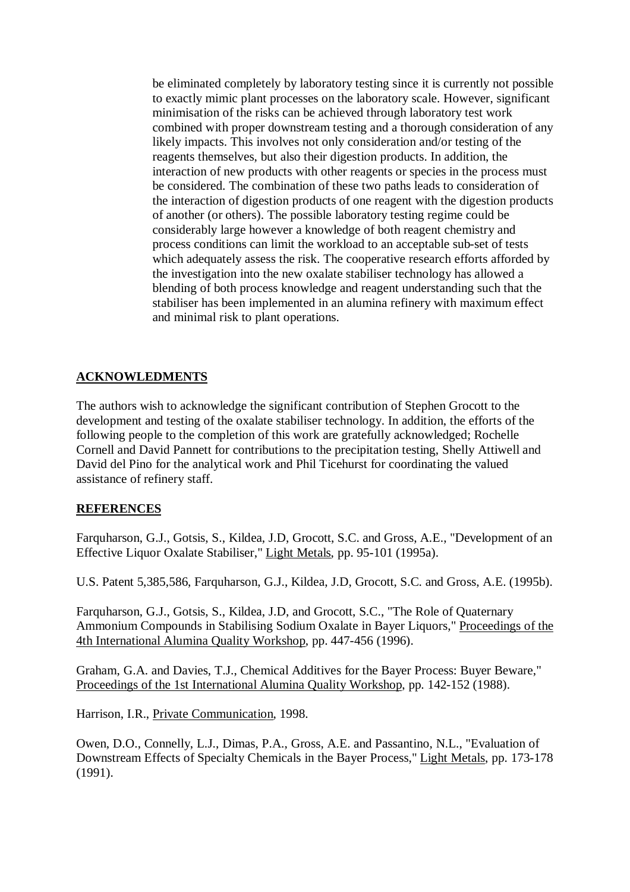be eliminated completely by laboratory testing since it is currently not possible to exactly mimic plant processes on the laboratory scale. However, significant minimisation of the risks can be achieved through laboratory test work combined with proper downstream testing and a thorough consideration of any likely impacts. This involves not only consideration and/or testing of the reagents themselves, but also their digestion products. In addition, the interaction of new products with other reagents or species in the process must be considered. The combination of these two paths leads to consideration of the interaction of digestion products of one reagent with the digestion products of another (or others). The possible laboratory testing regime could be considerably large however a knowledge of both reagent chemistry and process conditions can limit the workload to an acceptable sub-set of tests which adequately assess the risk. The cooperative research efforts afforded by the investigation into the new oxalate stabiliser technology has allowed a blending of both process knowledge and reagent understanding such that the stabiliser has been implemented in an alumina refinery with maximum effect and minimal risk to plant operations.

# **ACKNOWLEDMENTS**

The authors wish to acknowledge the significant contribution of Stephen Grocott to the development and testing of the oxalate stabiliser technology. In addition, the efforts of the following people to the completion of this work are gratefully acknowledged; Rochelle Cornell and David Pannett for contributions to the precipitation testing, Shelly Attiwell and David del Pino for the analytical work and Phil Ticehurst for coordinating the valued assistance of refinery staff.

### **REFERENCES**

Farquharson, G.J., Gotsis, S., Kildea, J.D, Grocott, S.C. and Gross, A.E., "Development of an Effective Liquor Oxalate Stabiliser," Light Metals, pp. 95-101 (1995a).

U.S. Patent 5,385,586, Farquharson, G.J., Kildea, J.D, Grocott, S.C. and Gross, A.E. (1995b).

Farquharson, G.J., Gotsis, S., Kildea, J.D, and Grocott, S.C., "The Role of Quaternary Ammonium Compounds in Stabilising Sodium Oxalate in Bayer Liquors," Proceedings of the 4th International Alumina Quality Workshop, pp. 447-456 (1996).

Graham, G.A. and Davies, T.J., Chemical Additives for the Bayer Process: Buyer Beware," Proceedings of the 1st International Alumina Quality Workshop, pp. 142-152 (1988).

Harrison, I.R., Private Communication, 1998.

Owen, D.O., Connelly, L.J., Dimas, P.A., Gross, A.E. and Passantino, N.L., "Evaluation of Downstream Effects of Specialty Chemicals in the Bayer Process," Light Metals, pp. 173-178 (1991).